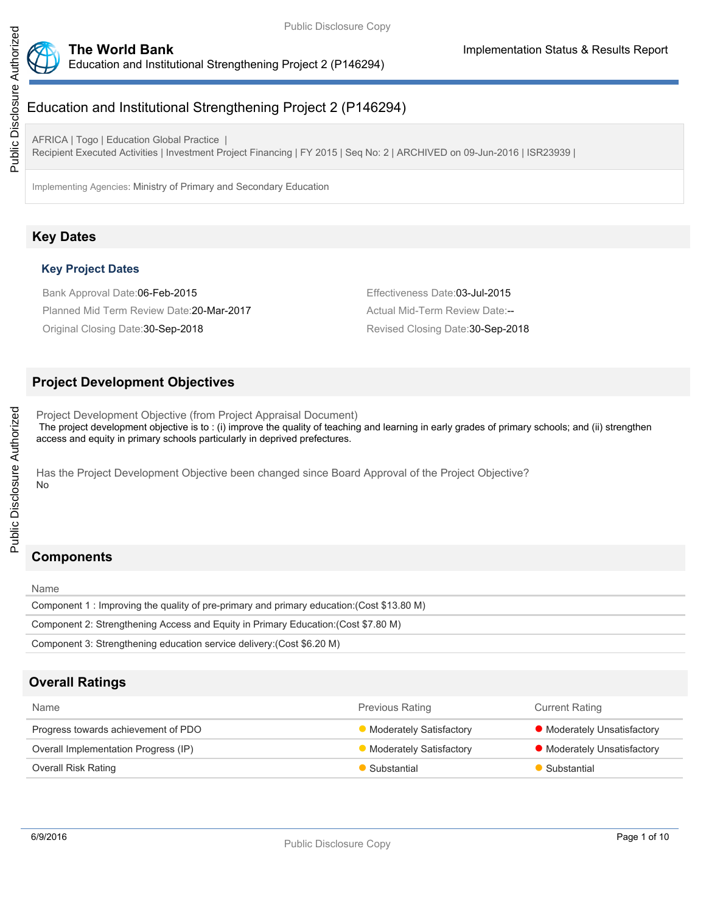

# Education and Institutional Strengthening Project 2 (P146294)

AFRICA | Togo | Education Global Practice | Recipient Executed Activities | Investment Project Financing | FY 2015 | Seq No: 2 | ARCHIVED on 09-Jun-2016 | ISR23939 |

Implementing Agencies: Ministry of Primary and Secondary Education

# **Key Dates**

## **Key Project Dates**

Bank Approval Date:06-Feb-2015 **Effectiveness Date:03-Jul-2015** Planned Mid Term Review Date: 20-Mar-2017 Actual Mid-Term Review Date:--

Original Closing Date:30-Sep-2018 Revised Closing Date:30-Sep-2018

# **Project Development Objectives**

Project Development Objective (from Project Appraisal Document) The project development objective is to : (i) improve the quality of teaching and learning in early grades of primary schools; and (ii) strengthen access and equity in primary schools particularly in deprived prefectures.

Has the Project Development Objective been changed since Board Approval of the Project Objective? No

# **Components**

Name

| Component 1 : Improving the quality of pre-primary and primary education: (Cost \$13.80 M) |
|--------------------------------------------------------------------------------------------|
| Component 2: Strengthening Access and Equity in Primary Education: (Cost \$7.80 M)         |
| Component 3: Strengthening education service delivery: (Cost \$6.20 M)                     |

## **Overall Ratings**

| <b>Name</b>                          | <b>Previous Rating</b>  | <b>Current Rating</b>       |
|--------------------------------------|-------------------------|-----------------------------|
| Progress towards achievement of PDO  | Moderately Satisfactory | • Moderately Unsatisfactory |
| Overall Implementation Progress (IP) | Moderately Satisfactory | • Moderately Unsatisfactory |
| Overall Risk Rating                  | Substantial             | Substantial                 |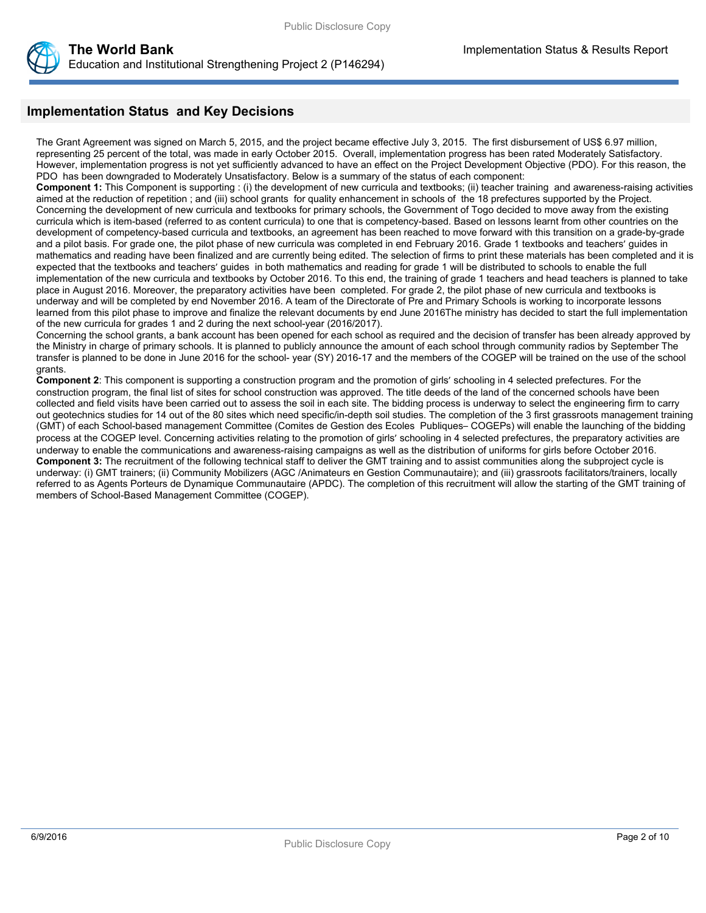

# **Implementation Status and Key Decisions**

The Grant Agreement was signed on March 5, 2015, and the project became effective July 3, 2015. The first disbursement of US\$ 6.97 million, representing 25 percent of the total, was made in early October 2015. Overall, implementation progress has been rated Moderately Satisfactory. However, implementation progress is not yet sufficiently advanced to have an effect on the Project Development Objective (PDO). For this reason, the PDO has been downgraded to Moderately Unsatisfactory. Below is a summary of the status of each component:

**Component 1:** This Component is supporting : (i) the development of new curricula and textbooks; (ii) teacher training and awareness-raising activities aimed at the reduction of repetition ; and (iii) school grants for quality enhancement in schools of the 18 prefectures supported by the Project. Concerning the development of new curricula and textbooks for primary schools, the Government of Togo decided to move away from the existing curricula which is item-based (referred to as content curricula) to one that is competency-based. Based on lessons learnt from other countries on the development of competency-based curricula and textbooks, an agreement has been reached to move forward with this transition on a grade-by-grade and a pilot basis. For grade one, the pilot phase of new curricula was completed in end February 2016. Grade 1 textbooks and teachers' guides in mathematics and reading have been finalized and are currently being edited. The selection of firms to print these materials has been completed and it is expected that the textbooks and teachers' guides in both mathematics and reading for grade 1 will be distributed to schools to enable the full implementation of the new curricula and textbooks by October 2016. To this end, the training of grade 1 teachers and head teachers is planned to take place in August 2016. Moreover, the preparatory activities have been completed. For grade 2, the pilot phase of new curricula and textbooks is underway and will be completed by end November 2016. A team of the Directorate of Pre and Primary Schools is working to incorporate lessons learned from this pilot phase to improve and finalize the relevant documents by end June 2016The ministry has decided to start the full implementation of the new curricula for grades 1 and 2 during the next school-year (2016/2017).

Concerning the school grants, a bank account has been opened for each school as required and the decision of transfer has been already approved by the Ministry in charge of primary schools. It is planned to publicly announce the amount of each school through community radios by September The transfer is planned to be done in June 2016 for the school- year (SY) 2016-17 and the members of the COGEP will be trained on the use of the school grants.

**Component 2**: This component is supporting a construction program and the promotion of girls' schooling in 4 selected prefectures. For the construction program, the final list of sites for school construction was approved. The title deeds of the land of the concerned schools have been collected and field visits have been carried out to assess the soil in each site. The bidding process is underway to select the engineering firm to carry out geotechnics studies for 14 out of the 80 sites which need specific/in-depth soil studies. The completion of the 3 first grassroots management training (GMT) of each School-based management Committee (Comites de Gestion des Ecoles Publiques– COGEPs) will enable the launching of the bidding process at the COGEP level. Concerning activities relating to the promotion of girls' schooling in 4 selected prefectures, the preparatory activities are underway to enable the communications and awareness-raising campaigns as well as the distribution of uniforms for girls before October 2016. **Component 3:** The recruitment of the following technical staff to deliver the GMT training and to assist communities along the subproject cycle is underway: (i) GMT trainers; (ii) Community Mobilizers (AGC /Animateurs en Gestion Communautaire); and (iii) grassroots facilitators/trainers, locally referred to as Agents Porteurs de Dynamique Communautaire (APDC). The completion of this recruitment will allow the starting of the GMT training of members of School-Based Management Committee (COGEP).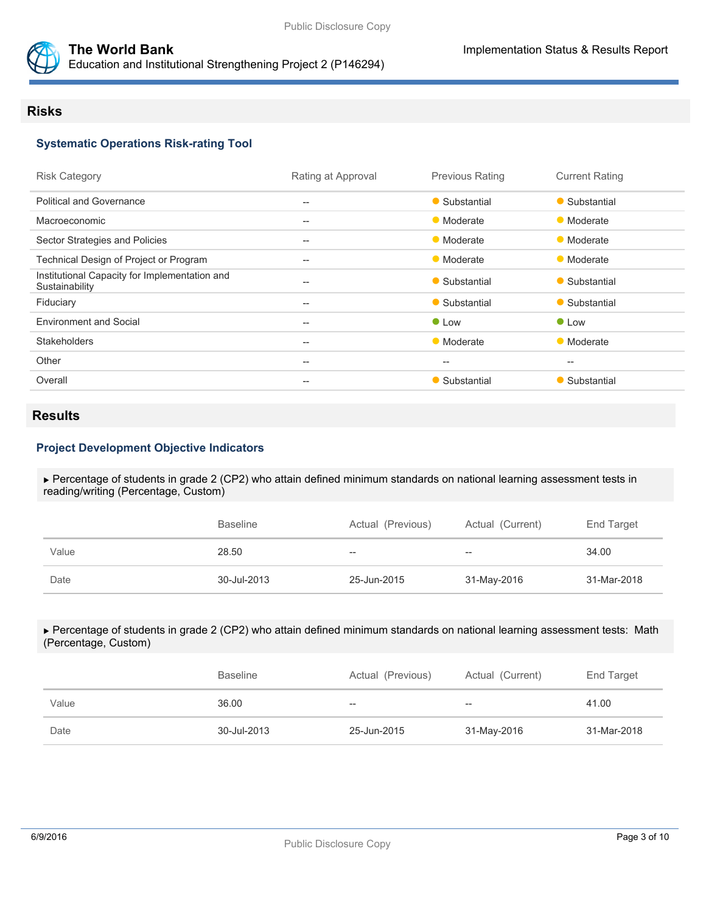

## **The World Bank Implementation Status & Results Report** Education and Institutional Strengthening Project 2 (P146294)

## **Risks**

# **Systematic Operations Risk-rating Tool**

| <b>Risk Category</b>                                            | Rating at Approval                                  | <b>Previous Rating</b> | <b>Current Rating</b> |
|-----------------------------------------------------------------|-----------------------------------------------------|------------------------|-----------------------|
| <b>Political and Governance</b>                                 | $--$                                                | • Substantial          | • Substantial         |
| Macroeconomic                                                   | --                                                  | • Moderate             | • Moderate            |
| Sector Strategies and Policies                                  | $- -$                                               | • Moderate             | • Moderate            |
| Technical Design of Project or Program                          | $\hspace{0.05cm} -\hspace{0.05cm} -\hspace{0.05cm}$ | • Moderate             | • Moderate            |
| Institutional Capacity for Implementation and<br>Sustainability | $- -$                                               | • Substantial          | • Substantial         |
| Fiduciary                                                       | $--$                                                | • Substantial          | • Substantial         |
| <b>Environment and Social</b>                                   | --                                                  | • Low                  | • Low                 |
| <b>Stakeholders</b>                                             | $\hspace{0.05cm} -\hspace{0.05cm} -\hspace{0.05cm}$ | • Moderate             | • Moderate            |
| Other                                                           | $--$                                                | $--$                   | $- -$                 |
| Overall                                                         | $\hspace{0.05cm}$                                   | • Substantial          | • Substantial         |
|                                                                 |                                                     |                        |                       |

# **Results**

### **Project Development Objective Indicators**

 Percentage of students in grade 2 (CP2) who attain defined minimum standards on national learning assessment tests in reading/writing (Percentage, Custom)

|       | <b>Baseline</b> | Actual (Previous) | Actual (Current) | End Target  |
|-------|-----------------|-------------------|------------------|-------------|
| Value | 28.50           | $- -$             | $- -$            | 34.00       |
| Date  | 30-Jul-2013     | 25-Jun-2015       | 31-May-2016      | 31-Mar-2018 |

#### Percentage of students in grade 2 (CP2) who attain defined minimum standards on national learning assessment tests: Math (Percentage, Custom)

|       | <b>Baseline</b> | Actual (Previous) | Actual (Current) | End Target  |
|-------|-----------------|-------------------|------------------|-------------|
| Value | 36.00           | $- -$             | $-$              | 41.00       |
| Date  | 30-Jul-2013     | 25-Jun-2015       | 31-May-2016      | 31-Mar-2018 |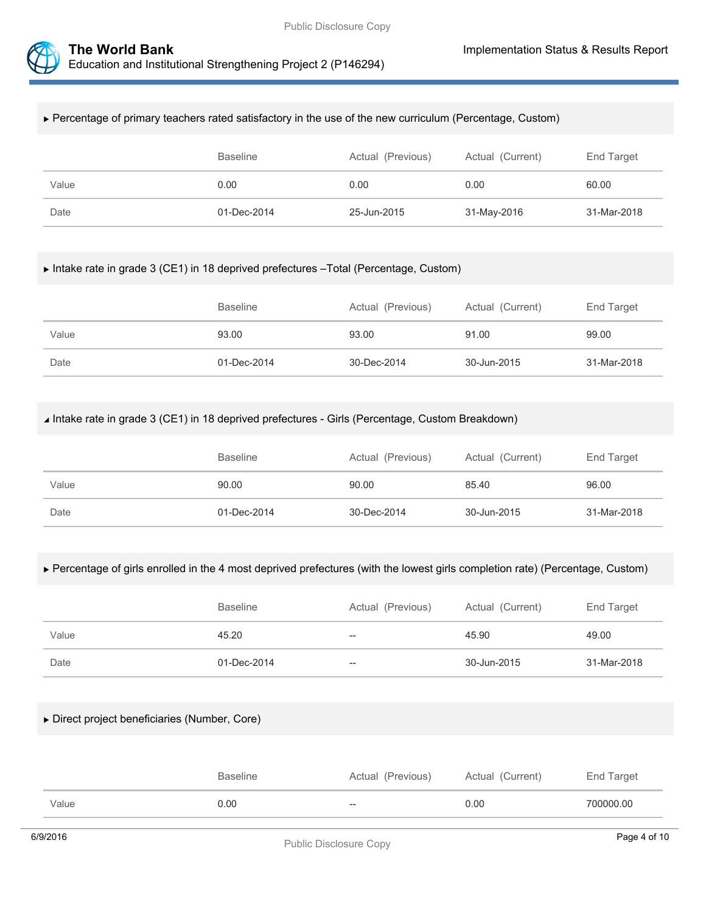



#### Percentage of primary teachers rated satisfactory in the use of the new curriculum (Percentage, Custom)

|       | Baseline    | Actual (Previous) | Actual (Current) | End Target  |
|-------|-------------|-------------------|------------------|-------------|
| Value | 0.00        | 0.00              | 0.00             | 60.00       |
| Date  | 01-Dec-2014 | 25-Jun-2015       | 31-May-2016      | 31-Mar-2018 |

### Intake rate in grade 3 (CE1) in 18 deprived prefectures –Total (Percentage, Custom)

|       | <b>Baseline</b> | Actual (Previous) | Actual (Current) | End Target  |
|-------|-----------------|-------------------|------------------|-------------|
| Value | 93.00           | 93.00             | 91.00            | 99.00       |
| Date  | 01-Dec-2014     | 30-Dec-2014       | 30-Jun-2015      | 31-Mar-2018 |

### Intake rate in grade 3 (CE1) in 18 deprived prefectures - Girls (Percentage, Custom Breakdown)

|       | <b>Baseline</b> | Actual (Previous) | Actual (Current) | End Target  |
|-------|-----------------|-------------------|------------------|-------------|
| Value | 90.00           | 90.00             | 85.40            | 96.00       |
| Date  | 01-Dec-2014     | 30-Dec-2014       | 30-Jun-2015      | 31-Mar-2018 |

### Percentage of girls enrolled in the 4 most deprived prefectures (with the lowest girls completion rate) (Percentage, Custom)

|       | <b>Baseline</b> | Actual (Previous) | Actual (Current) | End Target  |
|-------|-----------------|-------------------|------------------|-------------|
| Value | 45.20           | $- -$             | 45.90            | 49.00       |
| Date  | 01-Dec-2014     | $- -$             | 30-Jun-2015      | 31-Mar-2018 |

### Direct project beneficiaries (Number, Core)

|       | <b>Baseline</b> | Actual (Previous) | Actual (Current) | End Target |
|-------|-----------------|-------------------|------------------|------------|
| Value | ა.00            | $\hspace{0.05cm}$ | 0.00             | 700000.00  |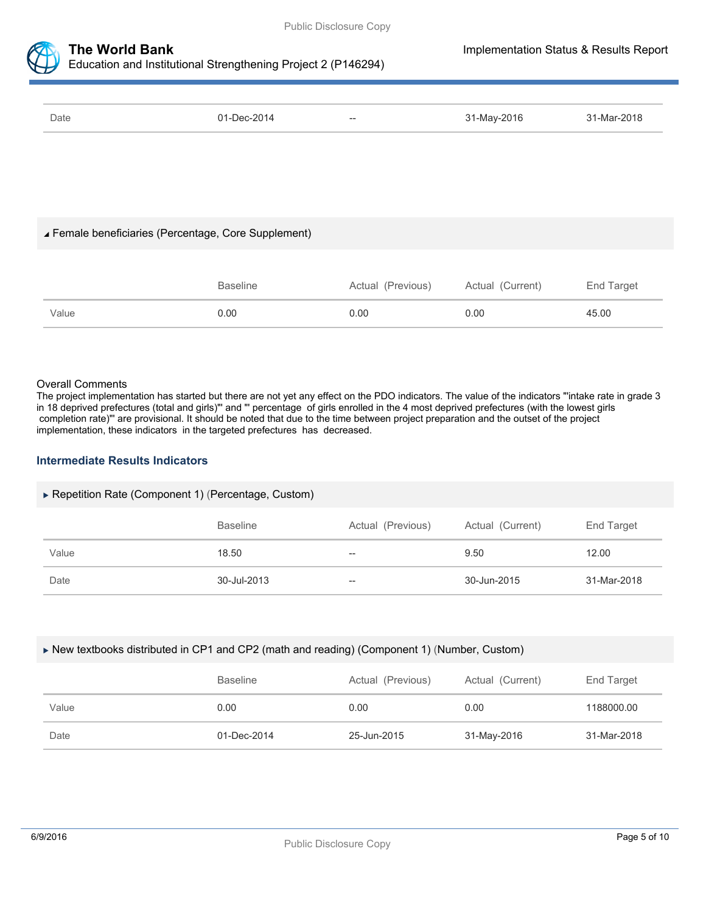



Education and Institutional Strengthening Project 2 (P146294)

| Date | 01-Dec-2014 | $- -$ | 31-May-2016 | 31-Mar-2018 |
|------|-------------|-------|-------------|-------------|
|      |             |       |             |             |

### Female beneficiaries (Percentage, Core Supplement)

|       | Baseline | Actual (Previous) | Actual (Current) | End Target |
|-------|----------|-------------------|------------------|------------|
| Value | 0.00     | 0.00              | 0.00             | 45.00      |

#### Overall Comments

The project implementation has started but there are not yet any effect on the PDO indicators. The value of the indicators "'intake rate in grade 3 in 18 deprived prefectures (total and girls)"' and "' percentage of girls enrolled in the 4 most deprived prefectures (with the lowest girls completion rate)"' are provisional. It should be noted that due to the time between project preparation and the outset of the project implementation, these indicators in the targeted prefectures has decreased.

### **Intermediate Results Indicators**

### Repetition Rate (Component 1) (Percentage, Custom)

|       | <b>Baseline</b> | Actual (Previous) | Actual (Current) | End Target  |
|-------|-----------------|-------------------|------------------|-------------|
| Value | 18.50           | $- -$             | 9.50             | 12.00       |
| Date  | 30-Jul-2013     | --                | 30-Jun-2015      | 31-Mar-2018 |

#### New textbooks distributed in CP1 and CP2 (math and reading) (Component 1) (Number, Custom)

|       | <b>Baseline</b> | Actual (Previous) | Actual (Current) | End Target  |
|-------|-----------------|-------------------|------------------|-------------|
| Value | 0.00            | 0.00              | 0.00             | 1188000.00  |
| Date  | 01-Dec-2014     | 25-Jun-2015       | 31-May-2016      | 31-Mar-2018 |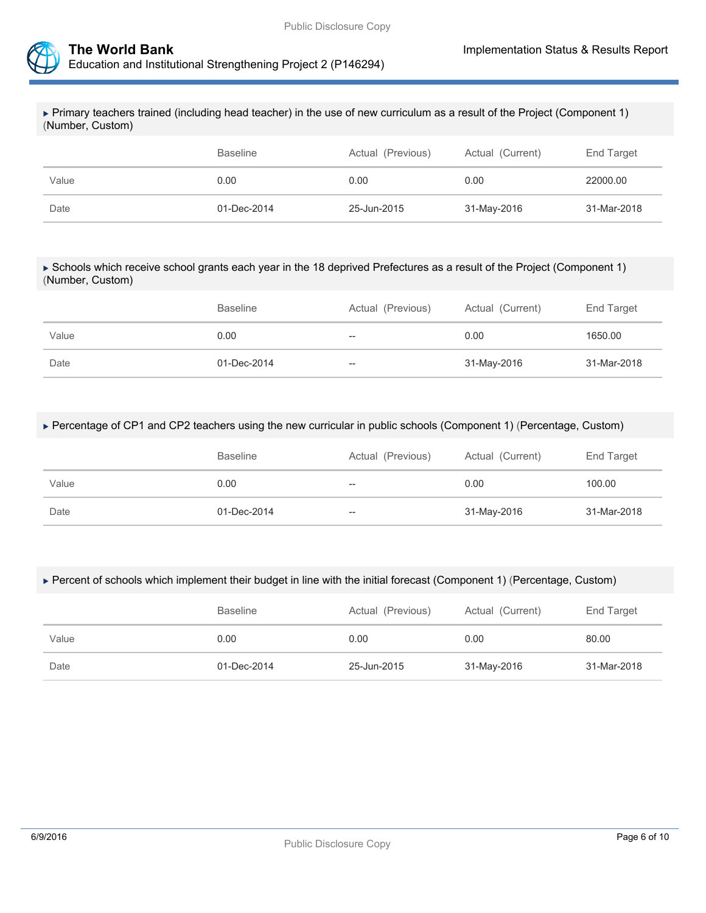



 Primary teachers trained (including head teacher) in the use of new curriculum as a result of the Project (Component 1) (Number, Custom)

|       | <b>Baseline</b> | Actual (Previous) | Actual (Current) | End Target  |
|-------|-----------------|-------------------|------------------|-------------|
| Value | 0.00            | 0.00              | 0.00             | 22000.00    |
| Date  | 01-Dec-2014     | 25-Jun-2015       | 31-May-2016      | 31-Mar-2018 |

#### Schools which receive school grants each year in the 18 deprived Prefectures as a result of the Project (Component 1) (Number, Custom)

|       | <b>Baseline</b> | Actual (Previous) | Actual (Current) | End Target  |
|-------|-----------------|-------------------|------------------|-------------|
| Value | 0.00            | $-$               | 0.00             | 1650.00     |
| Date  | 01-Dec-2014     | --                | 31-May-2016      | 31-Mar-2018 |

#### Percentage of CP1 and CP2 teachers using the new curricular in public schools (Component 1) (Percentage, Custom)

|       | <b>Baseline</b> | Actual (Previous) | Actual (Current) | End Target  |
|-------|-----------------|-------------------|------------------|-------------|
| Value | 0.00            | $-$               | 0.00             | 100.00      |
| Date  | 01-Dec-2014     | --                | 31-May-2016      | 31-Mar-2018 |

### Percent of schools which implement their budget in line with the initial forecast (Component 1) (Percentage, Custom)

|       | <b>Baseline</b> | Actual (Previous) | Actual (Current) | End Target  |
|-------|-----------------|-------------------|------------------|-------------|
| Value | 0.00            | 0.00              | 0.00             | 80.00       |
| Date  | 01-Dec-2014     | 25-Jun-2015       | 31-May-2016      | 31-Mar-2018 |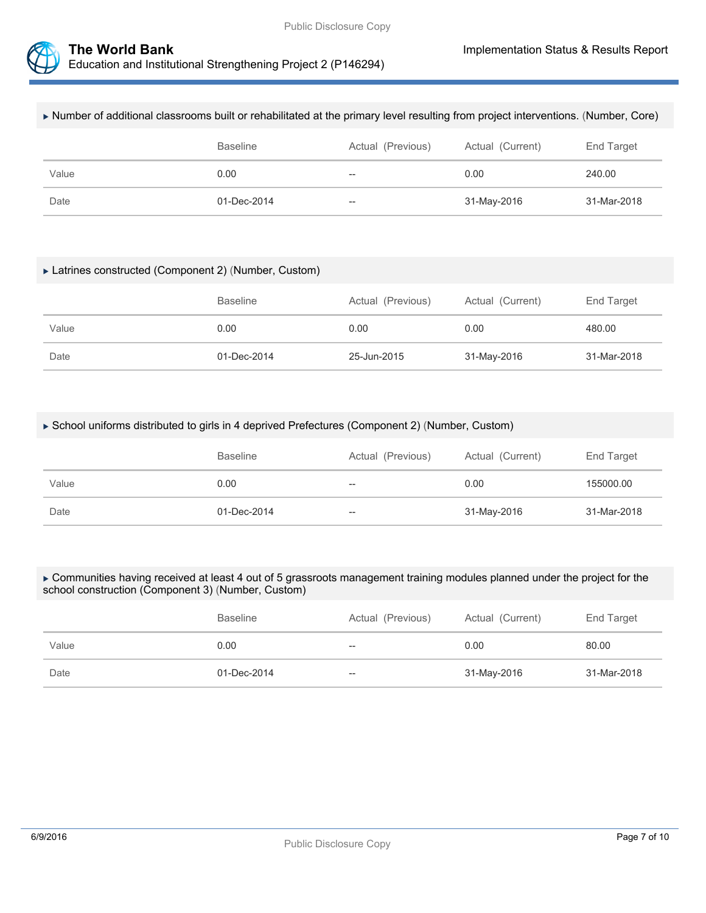



| $\sim$ Equivation and institutional Strengthening Project 2 (P 146294) |  |
|------------------------------------------------------------------------|--|
|                                                                        |  |

| Number of additional classrooms built or rehabilitated at the primary level resulting from project interventions. (Number, Core) |                 |                   |                  |             |
|----------------------------------------------------------------------------------------------------------------------------------|-----------------|-------------------|------------------|-------------|
|                                                                                                                                  | <b>Baseline</b> | Actual (Previous) | Actual (Current) | End Target  |
| Value                                                                                                                            | 0.00            | $- -$             | 0.00             | 240.00      |
| Date                                                                                                                             | 01-Dec-2014     | --                | 31-May-2016      | 31-Mar-2018 |

#### Latrines constructed (Component 2) (Number, Custom)

|       | <b>Baseline</b> | Actual (Previous) | Actual (Current) | End Target  |
|-------|-----------------|-------------------|------------------|-------------|
| Value | 0.00            | 0.00              | 0.00             | 480.00      |
| Date  | 01-Dec-2014     | 25-Jun-2015       | 31-May-2016      | 31-Mar-2018 |

### ▶ School uniforms distributed to girls in 4 deprived Prefectures (Component 2) (Number, Custom)

|       | <b>Baseline</b> | Actual (Previous) | Actual (Current) | End Target  |
|-------|-----------------|-------------------|------------------|-------------|
| Value | 0.00            | $-$               | 0.00             | 155000.00   |
| Date  | 01-Dec-2014     | $- -$             | 31-May-2016      | 31-Mar-2018 |

### ► Communities having received at least 4 out of 5 grassroots management training modules planned under the project for the school construction (Component 3) (Number, Custom)

|       | <b>Baseline</b> | Actual (Previous) | Actual (Current) | End Target  |
|-------|-----------------|-------------------|------------------|-------------|
| Value | 0.00            | $- -$             | 0.00             | 80.00       |
| Date  | 01-Dec-2014     | $-\!$             | 31-May-2016      | 31-Mar-2018 |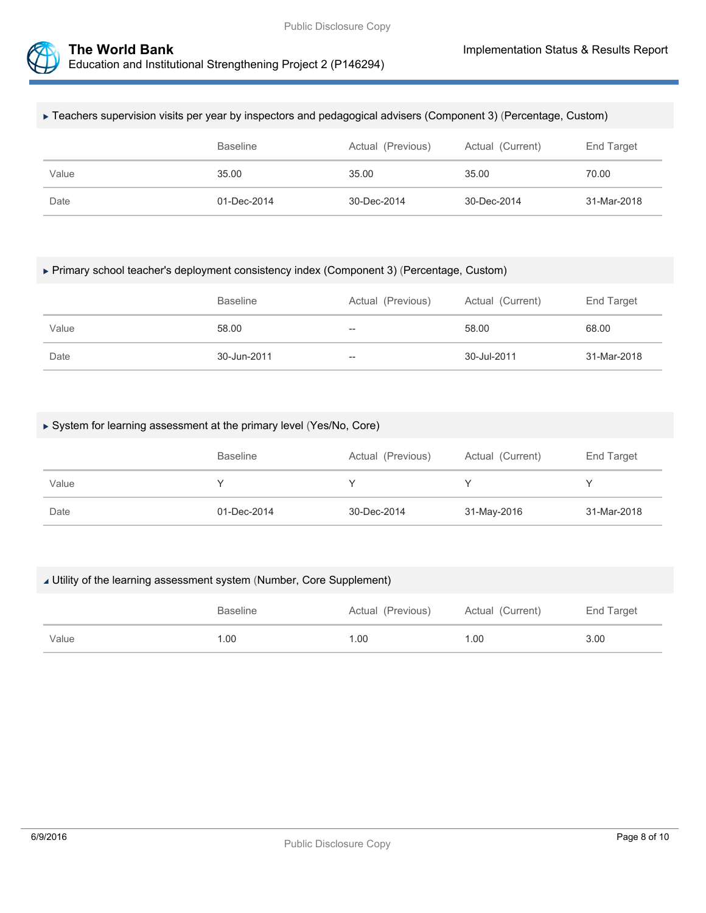



#### Teachers supervision visits per year by inspectors and pedagogical advisers (Component 3) (Percentage, Custom)

|       | <b>Baseline</b> | Actual (Previous) | Actual (Current) | End Target  |
|-------|-----------------|-------------------|------------------|-------------|
| Value | 35.00           | 35.00             | 35.00            | 70.00       |
| Date  | 01-Dec-2014     | 30-Dec-2014       | 30-Dec-2014      | 31-Mar-2018 |

### Primary school teacher's deployment consistency index (Component 3) (Percentage, Custom)

|       | <b>Baseline</b> | Actual (Previous) | Actual (Current) | End Target  |
|-------|-----------------|-------------------|------------------|-------------|
| Value | 58.00           | --                | 58.00            | 68.00       |
| Date  | 30-Jun-2011     | --                | 30-Jul-2011      | 31-Mar-2018 |

### System for learning assessment at the primary level (Yes/No, Core)

|       | <b>Baseline</b> | Actual (Previous) | Actual (Current) | End Target  |
|-------|-----------------|-------------------|------------------|-------------|
| Value |                 |                   |                  |             |
| Date  | 01-Dec-2014     | 30-Dec-2014       | 31-May-2016      | 31-Mar-2018 |

#### Utility of the learning assessment system (Number, Core Supplement)

|       | <b>Baseline</b> | Actual (Previous) | Actual (Current) | End Target |
|-------|-----------------|-------------------|------------------|------------|
| Value | .00             | 1.00              | 1.00             | 3.00       |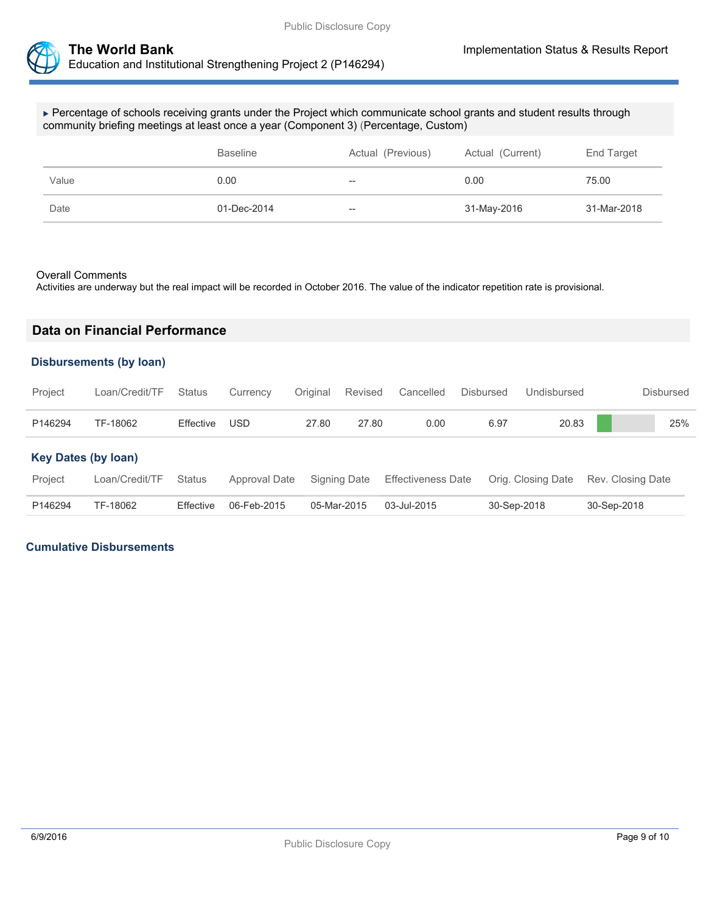

 Percentage of schools receiving grants under the Project which communicate school grants and student results through community briefing meetings at least once a year (Component 3) (Percentage, Custom)

|       | <b>Baseline</b> | Actual (Previous) | Actual (Current) | End Target  |
|-------|-----------------|-------------------|------------------|-------------|
| Value | 0.00            | $-\!$             | 0.00             | 75.00       |
| Date  | 01-Dec-2014     | $-$               | 31-May-2016      | 31-Mar-2018 |

#### Overall Comments

Activities are underway but the real impact will be recorded in October 2016. The value of the indicator repetition rate is provisional.

# **Data on Financial Performance**

### **Disbursements (by loan)**

| Project                    | Loan/Credit/TF | <b>Status</b> | Currency      | Original    | Revised      | Cancelled                 | <b>Disbursed</b> | Undisbursed        | Disbursed         |
|----------------------------|----------------|---------------|---------------|-------------|--------------|---------------------------|------------------|--------------------|-------------------|
| P146294                    | TF-18062       | Effective     | <b>USD</b>    | 27.80       | 27.80        | 0.00                      | 6.97             | 20.83              | 25%               |
| <b>Key Dates (by loan)</b> |                |               |               |             |              |                           |                  |                    |                   |
| Project                    | Loan/Credit/TF | <b>Status</b> | Approval Date |             | Signing Date | <b>Effectiveness Date</b> |                  | Orig. Closing Date | Rev. Closing Date |
| P146294                    | TF-18062       | Effective     | 06-Feb-2015   | 05-Mar-2015 |              | 03-Jul-2015               |                  | 30-Sep-2018        | 30-Sep-2018       |

## **Cumulative Disbursements**